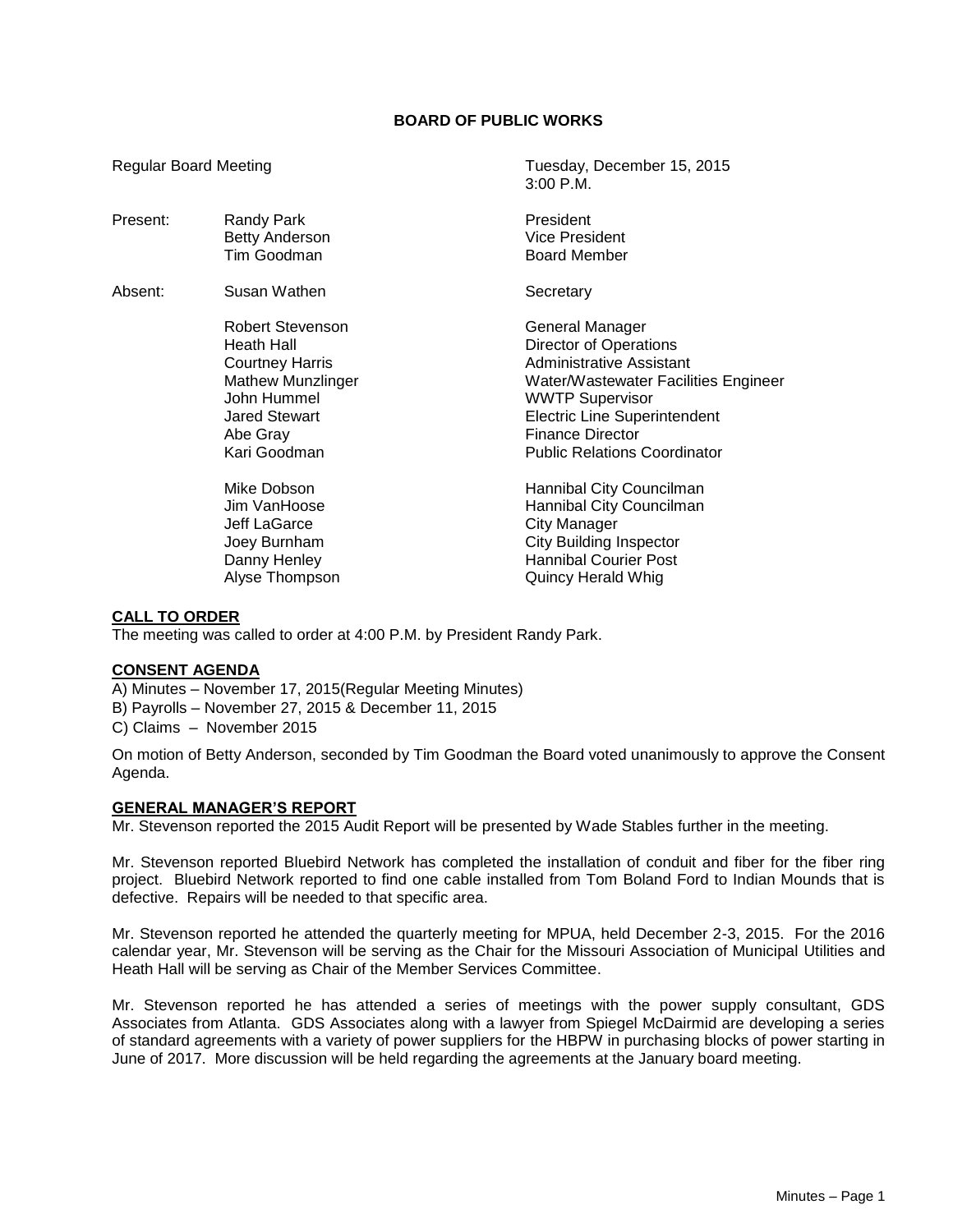# **BOARD OF PUBLIC WORKS**

3:00 P.M.

Regular Board Meeting Tuesday, December 15, 2015

| Present: | Randy Park<br><b>Betty Anderson</b><br>Tim Goodman                                                                                                      | President<br>Vice President<br><b>Board Member</b>                                                                                                                                                                                               |
|----------|---------------------------------------------------------------------------------------------------------------------------------------------------------|--------------------------------------------------------------------------------------------------------------------------------------------------------------------------------------------------------------------------------------------------|
| Absent:  | Susan Wathen                                                                                                                                            | Secretary                                                                                                                                                                                                                                        |
|          | Robert Stevenson<br>Heath Hall<br><b>Courtney Harris</b><br><b>Mathew Munzlinger</b><br>John Hummel<br><b>Jared Stewart</b><br>Abe Gray<br>Kari Goodman | General Manager<br>Director of Operations<br>Administrative Assistant<br>Water/Wastewater Facilities Engineer<br><b>WWTP Supervisor</b><br><b>Electric Line Superintendent</b><br><b>Finance Director</b><br><b>Public Relations Coordinator</b> |
|          | Mike Dobson<br>Jim VanHoose<br>Jeff LaGarce<br>Joey Burnham<br>Danny Henley<br>Alyse Thompson                                                           | Hannibal City Councilman<br>Hannibal City Councilman<br><b>City Manager</b><br><b>City Building Inspector</b><br><b>Hannibal Courier Post</b><br>Quincy Herald Whig                                                                              |

# **CALL TO ORDER**

The meeting was called to order at 4:00 P.M. by President Randy Park.

### **CONSENT AGENDA**

A) Minutes – November 17, 2015(Regular Meeting Minutes)

B) Payrolls – November 27, 2015 & December 11, 2015

C) Claims – November 2015

On motion of Betty Anderson, seconded by Tim Goodman the Board voted unanimously to approve the Consent Agenda.

#### **GENERAL MANAGER'S REPORT**

Mr. Stevenson reported the 2015 Audit Report will be presented by Wade Stables further in the meeting.

Mr. Stevenson reported Bluebird Network has completed the installation of conduit and fiber for the fiber ring project. Bluebird Network reported to find one cable installed from Tom Boland Ford to Indian Mounds that is defective. Repairs will be needed to that specific area.

Mr. Stevenson reported he attended the quarterly meeting for MPUA, held December 2-3, 2015. For the 2016 calendar year, Mr. Stevenson will be serving as the Chair for the Missouri Association of Municipal Utilities and Heath Hall will be serving as Chair of the Member Services Committee.

Mr. Stevenson reported he has attended a series of meetings with the power supply consultant, GDS Associates from Atlanta. GDS Associates along with a lawyer from Spiegel McDairmid are developing a series of standard agreements with a variety of power suppliers for the HBPW in purchasing blocks of power starting in June of 2017. More discussion will be held regarding the agreements at the January board meeting.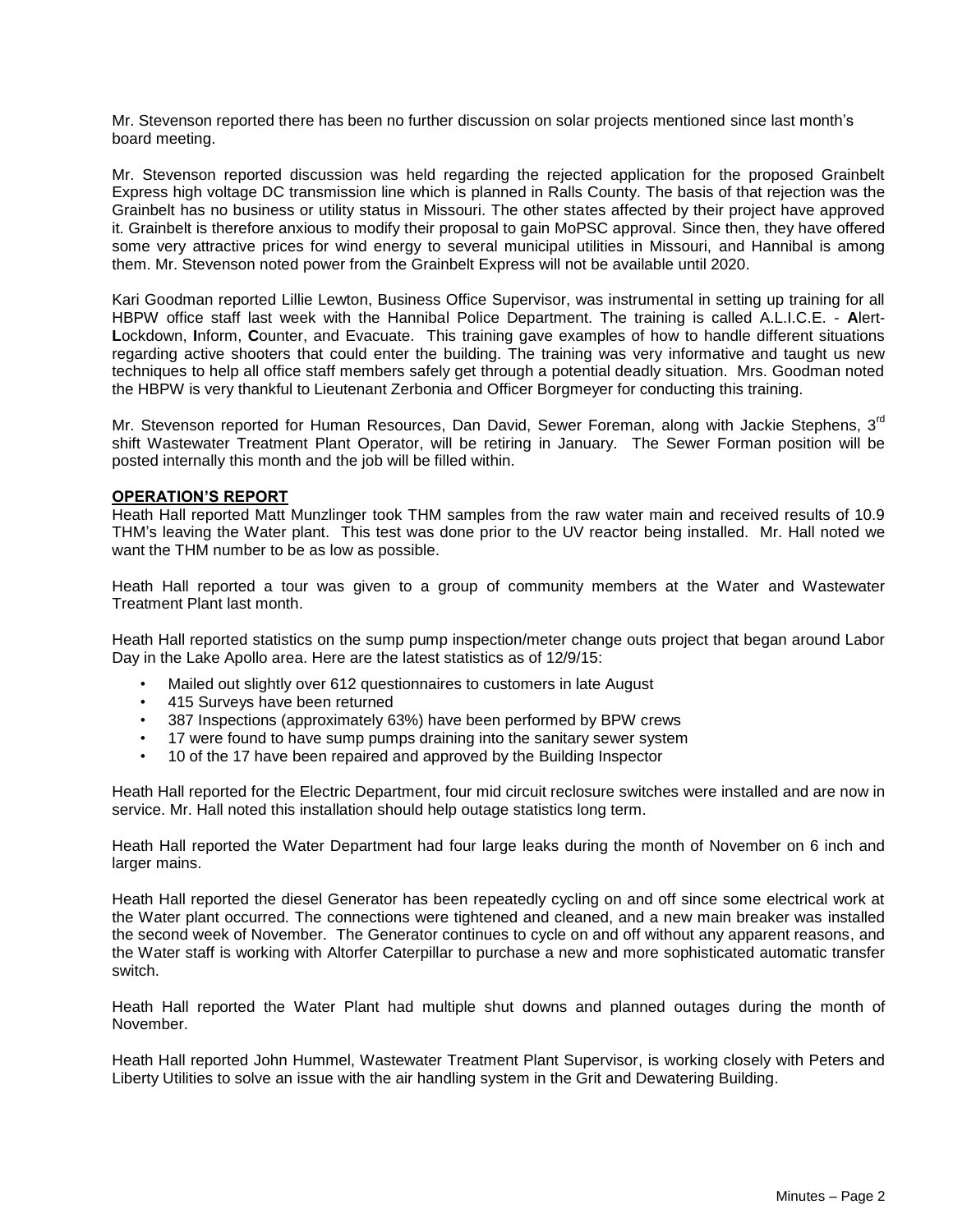Mr. Stevenson reported there has been no further discussion on solar projects mentioned since last month's board meeting.

Mr. Stevenson reported discussion was held regarding the rejected application for the proposed Grainbelt Express high voltage DC transmission line which is planned in Ralls County. The basis of that rejection was the Grainbelt has no business or utility status in Missouri. The other states affected by their project have approved it. Grainbelt is therefore anxious to modify their proposal to gain MoPSC approval. Since then, they have offered some very attractive prices for wind energy to several municipal utilities in Missouri, and Hannibal is among them. Mr. Stevenson noted power from the Grainbelt Express will not be available until 2020.

Kari Goodman reported Lillie Lewton, Business Office Supervisor, was instrumental in setting up training for all HBPW office staff last week with the Hannibal Police Department. The training is called A.L.I.C.E. - **A**lert-**L**ockdown, **I**nform, **C**ounter, and Evacuate. This training gave examples of how to handle different situations regarding active shooters that could enter the building. The training was very informative and taught us new techniques to help all office staff members safely get through a potential deadly situation. Mrs. Goodman noted the HBPW is very thankful to Lieutenant Zerbonia and Officer Borgmeyer for conducting this training.

Mr. Stevenson reported for Human Resources, Dan David, Sewer Foreman, along with Jackie Stephens, 3<sup>rd</sup> shift Wastewater Treatment Plant Operator, will be retiring in January. The Sewer Forman position will be posted internally this month and the job will be filled within.

### **OPERATION'S REPORT**

Heath Hall reported Matt Munzlinger took THM samples from the raw water main and received results of 10.9 THM's leaving the Water plant. This test was done prior to the UV reactor being installed. Mr. Hall noted we want the THM number to be as low as possible.

Heath Hall reported a tour was given to a group of community members at the Water and Wastewater Treatment Plant last month.

Heath Hall reported statistics on the sump pump inspection/meter change outs project that began around Labor Day in the Lake Apollo area. Here are the latest statistics as of 12/9/15:

- Mailed out slightly over 612 questionnaires to customers in late August
- 415 Surveys have been returned
- 387 Inspections (approximately 63%) have been performed by BPW crews
- 17 were found to have sump pumps draining into the sanitary sewer system
- 10 of the 17 have been repaired and approved by the Building Inspector

Heath Hall reported for the Electric Department, four mid circuit reclosure switches were installed and are now in service. Mr. Hall noted this installation should help outage statistics long term.

Heath Hall reported the Water Department had four large leaks during the month of November on 6 inch and larger mains.

Heath Hall reported the diesel Generator has been repeatedly cycling on and off since some electrical work at the Water plant occurred. The connections were tightened and cleaned, and a new main breaker was installed the second week of November. The Generator continues to cycle on and off without any apparent reasons, and the Water staff is working with Altorfer Caterpillar to purchase a new and more sophisticated automatic transfer switch.

Heath Hall reported the Water Plant had multiple shut downs and planned outages during the month of November.

Heath Hall reported John Hummel, Wastewater Treatment Plant Supervisor, is working closely with Peters and Liberty Utilities to solve an issue with the air handling system in the Grit and Dewatering Building.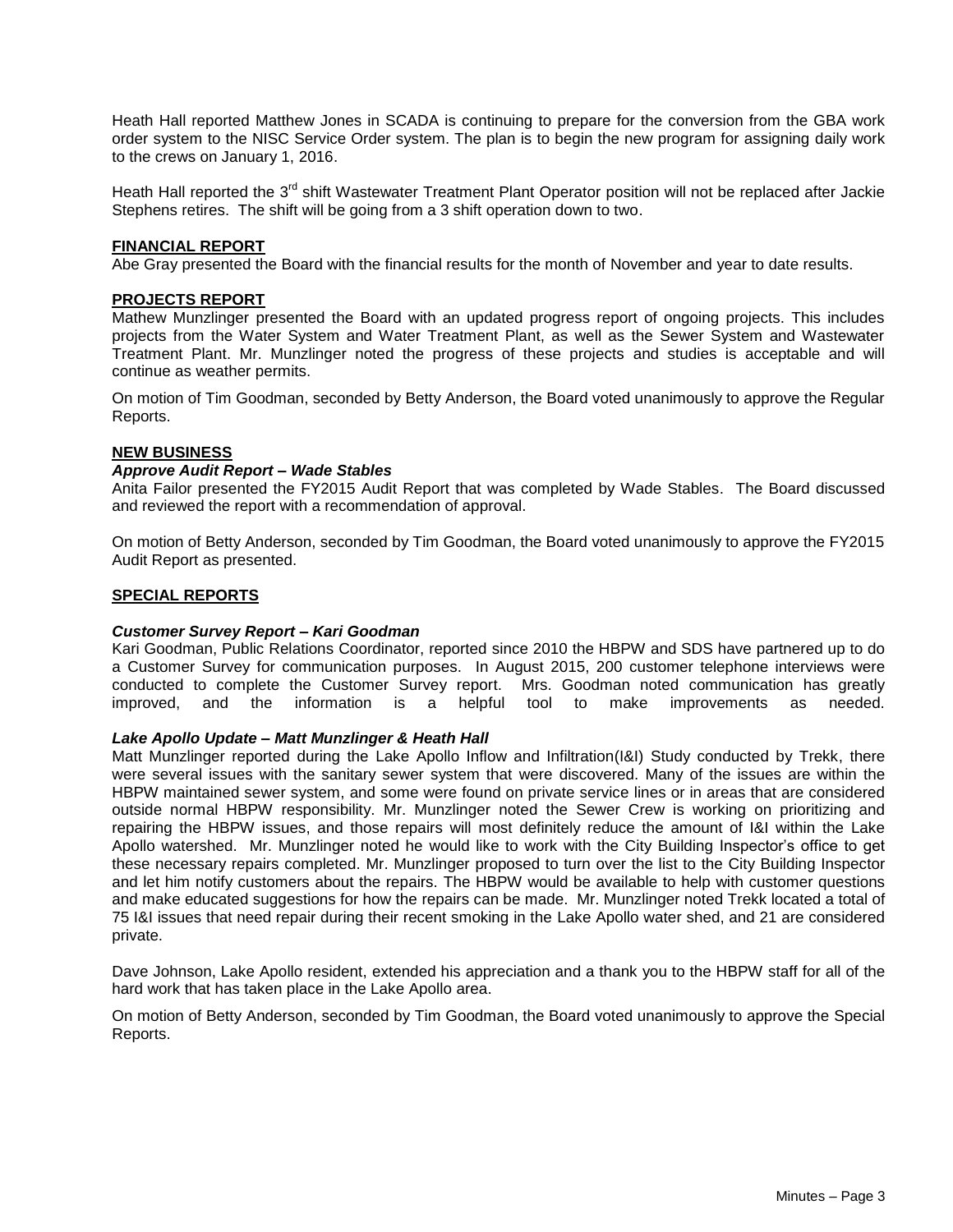Heath Hall reported Matthew Jones in SCADA is continuing to prepare for the conversion from the GBA work order system to the NISC Service Order system. The plan is to begin the new program for assigning daily work to the crews on January 1, 2016.

Heath Hall reported the 3<sup>rd</sup> shift Wastewater Treatment Plant Operator position will not be replaced after Jackie Stephens retires. The shift will be going from a 3 shift operation down to two.

### **FINANCIAL REPORT**

Abe Gray presented the Board with the financial results for the month of November and year to date results.

#### **PROJECTS REPORT**

Mathew Munzlinger presented the Board with an updated progress report of ongoing projects. This includes projects from the Water System and Water Treatment Plant, as well as the Sewer System and Wastewater Treatment Plant. Mr. Munzlinger noted the progress of these projects and studies is acceptable and will continue as weather permits.

On motion of Tim Goodman, seconded by Betty Anderson, the Board voted unanimously to approve the Regular Reports.

#### **NEW BUSINESS**

#### *Approve Audit Report – Wade Stables*

Anita Failor presented the FY2015 Audit Report that was completed by Wade Stables. The Board discussed and reviewed the report with a recommendation of approval.

On motion of Betty Anderson, seconded by Tim Goodman, the Board voted unanimously to approve the FY2015 Audit Report as presented.

#### **SPECIAL REPORTS**

#### *Customer Survey Report – Kari Goodman*

Kari Goodman, Public Relations Coordinator, reported since 2010 the HBPW and SDS have partnered up to do a Customer Survey for communication purposes. In August 2015, 200 customer telephone interviews were conducted to complete the Customer Survey report. Mrs. Goodman noted communication has greatly improved, and the information is a helpful tool to make improvements as needed.

#### *Lake Apollo Update – Matt Munzlinger & Heath Hall*

Matt Munzlinger reported during the Lake Apollo Inflow and Infiltration(I&I) Study conducted by Trekk, there were several issues with the sanitary sewer system that were discovered. Many of the issues are within the HBPW maintained sewer system, and some were found on private service lines or in areas that are considered outside normal HBPW responsibility. Mr. Munzlinger noted the Sewer Crew is working on prioritizing and repairing the HBPW issues, and those repairs will most definitely reduce the amount of I&I within the Lake Apollo watershed. Mr. Munzlinger noted he would like to work with the City Building Inspector's office to get these necessary repairs completed. Mr. Munzlinger proposed to turn over the list to the City Building Inspector and let him notify customers about the repairs. The HBPW would be available to help with customer questions and make educated suggestions for how the repairs can be made. Mr. Munzlinger noted Trekk located a total of 75 I&I issues that need repair during their recent smoking in the Lake Apollo water shed, and 21 are considered private.

Dave Johnson, Lake Apollo resident, extended his appreciation and a thank you to the HBPW staff for all of the hard work that has taken place in the Lake Apollo area.

On motion of Betty Anderson, seconded by Tim Goodman, the Board voted unanimously to approve the Special Reports.